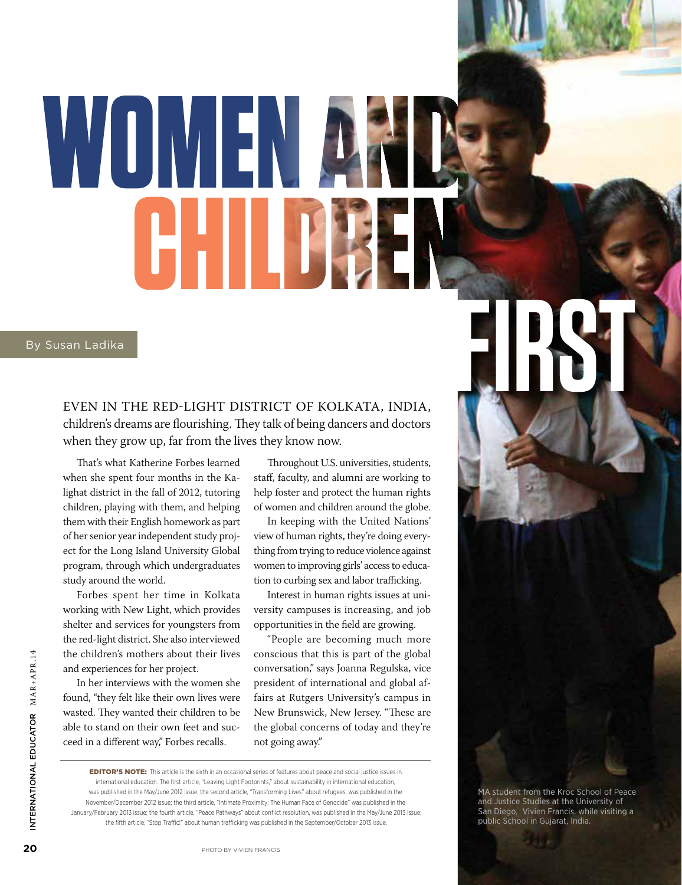# WUMENA HIII By Susan Ladika<br>EVEN IN THE RED-LIGHT DISTRICT OF KOLKATA, INDIA,

EVEN IN THE RED-LIGHT DISTRICT OF KOLKATA, INDIA, children's dreams are flourishing. They talk of being dancers and doctors when they grow up, far from the lives they know now.

That's what Katherine Forbes learned when she spent four months in the Kalighat district in the fall of 2012, tutoring children, playing with them, and helping them with their English homework as part of her senior year independent study project for the Long Island University Global program, through which undergraduates study around the world.

Forbes spent her time in Kolkata working with New Light, which provides shelter and services for youngsters from the red-light district. She also interviewed the children's mothers about their lives and experiences for her project.

In her interviews with the women she found, "they felt like their own lives were wasted. They wanted their children to be able to stand on their own feet and succeed in a different way," Forbes recalls.

Throughout U.S. universities, students, staff, faculty, and alumni are working to help foster and protect the human rights of women and children around the globe.

In keeping with the United Nations' view of human rights, they're doing everything from trying to reduce violence against women to improving girls' access to education to curbing sex and labor trafficking.

Interest in human rights issues at university campuses is increasing, and job opportunities in the field are growing.

"People are becoming much more conscious that this is part of the global conversation," says Joanna Regulska, vice president of international and global affairs at Rutgers University's campus in New Brunswick, New Jersey. "These are the global concerns of today and they're not going away."

MA student from the Kroc School of Peace and Justice Studies at the University of San Diego, Vivien Francis, while visiting a public School in Gujarat, India.

EDITOR'S NOTE: This article is the sixth in an occasional series of features about peace and social justice issues in international education. The first article, "Leaving Light Footprints," about sustainability in international education, was published in the May/June 2012 issue; the second article, "Transforming Lives" about refugees, was published in the November/December 2012 issue; the third article, "Intimate Proximity: The Human Face of Genocide" was published in the January/February 2013 issue; the fourth article, "Peace Pathways" about conflict resolution, was published in the May/June 2013 issue; the fifth article, "Stop Traffic!" about human trafficking was published in the September/October 2013 issue.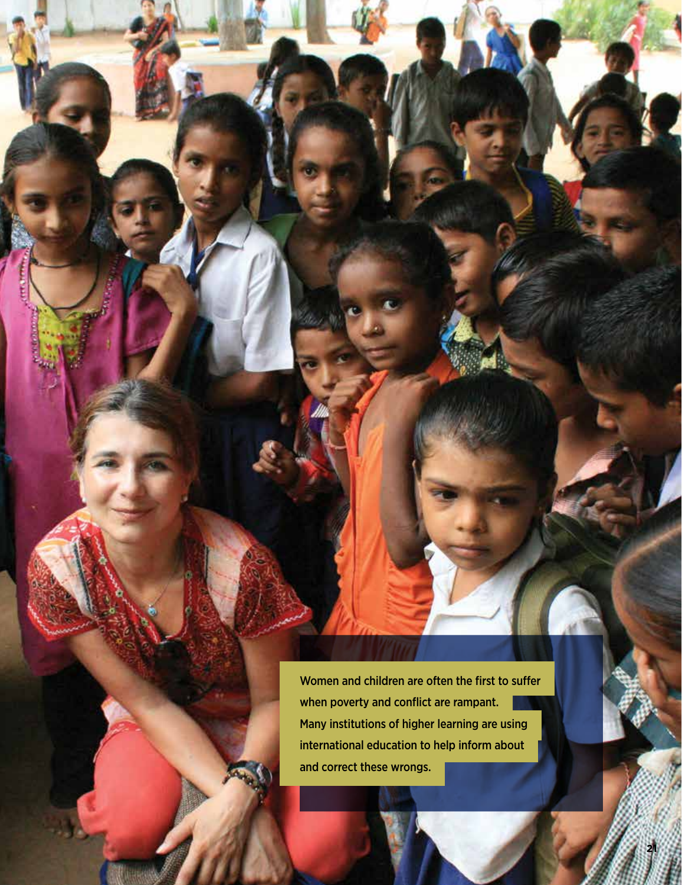Women and children are often the first to suffer when poverty and conflict are rampant. Many institutions of higher learning are using international education to help inform about and correct these wrongs.

ŧ

**Bolton** 

**21**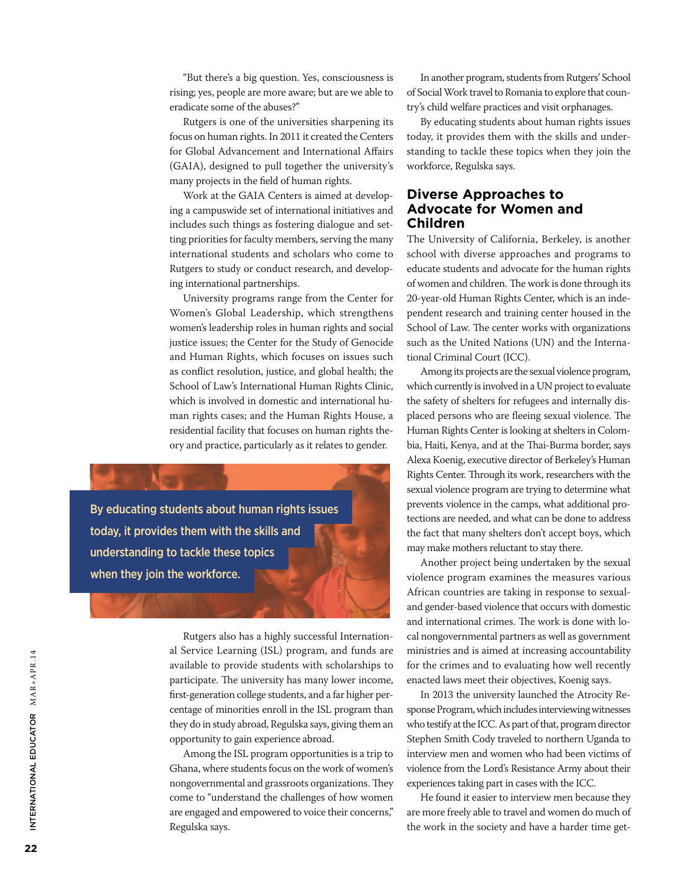"But there's a big question. Yes, consciousness is rising; yes, people are more aware; but are we able to eradicate some of the abuses?"

Rutgers is one of the universities sharpening its focus on human rights. In 2011 it created the Centers for Global Advancement and International Affairs (GAIA), designed to pull together the university's many projects in the field of human rights.

Work at the GAIA Centers is aimed at developing a campuswide set of international initiatives and includes such things as fostering dialogue and setting priorities for faculty members, serving the many international students and scholars who come to Rutgers to study or conduct research, and developing international partnerships.

University programs range from the Center for Women's Global Leadership, which strengthens women's leadership roles in human rights and social justice issues; the Center for the Study of Genocide and Human Rights, which focuses on issues such as conflict resolution, justice, and global health; the School of Law's International Human Rights Clinic, which is involved in domestic and international human rights cases; and the Human Rights House, a residential facility that focuses on human rights theory and practice, particularly as it relates to gender.

By educating students about human rights issues today, it provides them with the skills and understanding to tackle these topics when they join the workforce.

> Rutgers also has a highly successful International Service Learning (ISL) program, and funds are available to provide students with scholarships to participate. The university has many lower income, first-generation college students, and a far higher percentage of minorities enroll in the ISL program than they do in study abroad, Regulska says, giving them an opportunity to gain experience abroad.

> Among the ISL program opportunities is a trip to Ghana, where students focus on the work of women's nongovernmental and grassroots organizations. They come to "understand the challenges of how women are engaged and empowered to voice their concerns," Regulska says.

In another program, students from Rutgers' School of Social Work travel to Romania to explore that country's child welfare practices and visit orphanages.

By educating students about human rights issues today, it provides them with the skills and understanding to tackle these topics when they join the workforce, Regulska says.

### **Diverse Approaches to Advocate for Women and Children**

The University of California, Berkeley, is another school with diverse approaches and programs to educate students and advocate for the human rights of women and children. The work is done through its 20-year-old Human Rights Center, which is an independent research and training center housed in the School of Law. The center works with organizations such as the United Nations (UN) and the International Criminal Court (ICC).

Among its projects are the sexual violence program, which currently is involved in a UN project to evaluate the safety of shelters for refugees and internally displaced persons who are fleeing sexual violence. The Human Rights Center is looking at shelters in Colombia, Haiti, Kenya, and at the Thai-Burma border, says Alexa Koenig, executive director of Berkeley's Human Rights Center. Through its work, researchers with the sexual violence program are trying to determine what prevents violence in the camps, what additional protections are needed, and what can be done to address the fact that many shelters don't accept boys, which may make mothers reluctant to stay there.

Another project being undertaken by the sexual violence program examines the measures various African countries are taking in response to sexualand gender-based violence that occurs with domestic and international crimes. The work is done with local nongovernmental partners as well as government ministries and is aimed at increasing accountability for the crimes and to evaluating how well recently enacted laws meet their objectives, Koenig says.

In 2013 the university launched the Atrocity Response Program, which includes interviewing witnesses who testify at the ICC. As part of that, program director Stephen Smith Cody traveled to northern Uganda to interview men and women who had been victims of violence from the Lord's Resistance Army about their experiences taking part in cases with the ICC.

He found it easier to interview men because they are more freely able to travel and women do much of the work in the society and have a harder time get-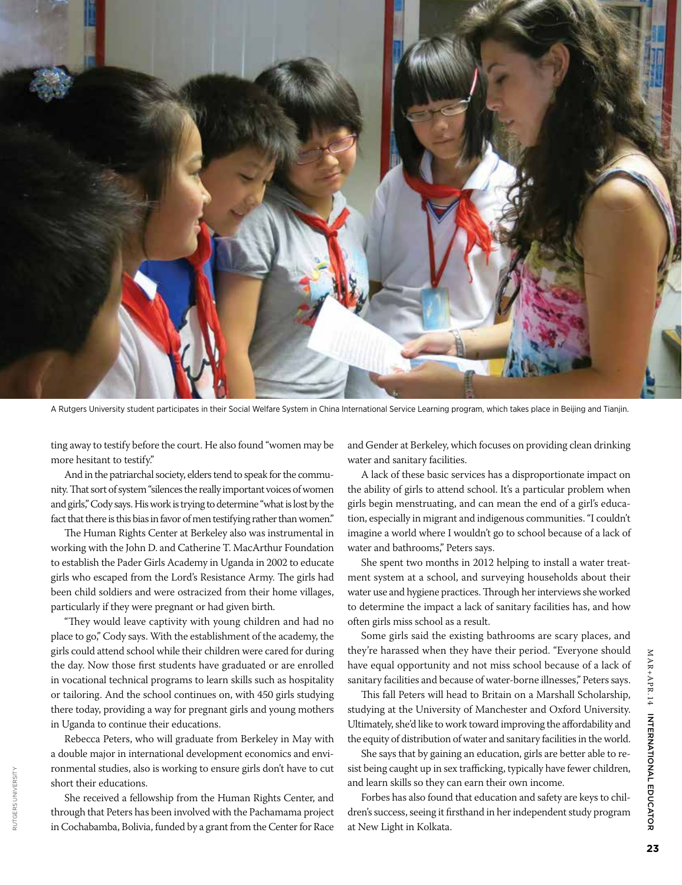

A Rutgers University student participates in their Social Welfare System in China International Service Learning program, which takes place in Beijing and Tianjin.

ting away to testify before the court. He also found "women may be more hesitant to testify."

And in the patriarchal society, elders tend to speak for the community. That sort of system "silences the really important voices of women and girls," Cody says. His work is trying to determine "what is lost by the fact that there is this bias in favor of men testifying rather than women."

The Human Rights Center at Berkeley also was instrumental in working with the John D. and Catherine T. MacArthur Foundation to establish the Pader Girls Academy in Uganda in 2002 to educate girls who escaped from the Lord's Resistance Army. The girls had been child soldiers and were ostracized from their home villages, particularly if they were pregnant or had given birth.

"They would leave captivity with young children and had no place to go," Cody says. With the establishment of the academy, the girls could attend school while their children were cared for during the day. Now those first students have graduated or are enrolled in vocational technical programs to learn skills such as hospitality or tailoring. And the school continues on, with 450 girls studying there today, providing a way for pregnant girls and young mothers in Uganda to continue their educations.

Rebecca Peters, who will graduate from Berkeley in May with a double major in international development economics and environmental studies, also is working to ensure girls don't have to cut short their educations.

She received a fellowship from the Human Rights Center, and through that Peters has been involved with the Pachamama project in Cochabamba, Bolivia, funded by a grant from the Center for Race

RUTGERS UNIVERSITY

RUTGERS UNIVERSITY

and Gender at Berkeley, which focuses on providing clean drinking water and sanitary facilities.

A lack of these basic services has a disproportionate impact on the ability of girls to attend school. It's a particular problem when girls begin menstruating, and can mean the end of a girl's education, especially in migrant and indigenous communities. "I couldn't imagine a world where I wouldn't go to school because of a lack of water and bathrooms," Peters says.

She spent two months in 2012 helping to install a water treatment system at a school, and surveying households about their water use and hygiene practices. Through her interviews she worked to determine the impact a lack of sanitary facilities has, and how often girls miss school as a result.

Some girls said the existing bathrooms are scary places, and they're harassed when they have their period. "Everyone should have equal opportunity and not miss school because of a lack of sanitary facilities and because of water-borne illnesses," Peters says.

This fall Peters will head to Britain on a Marshall Scholarship, studying at the University of Manchester and Oxford University. Ultimately, she'd like to work toward improving the affordability and the equity of distribution of water and sanitary facilities in the world.

She says that by gaining an education, girls are better able to resist being caught up in sex trafficking, typically have fewer children, and learn skills so they can earn their own income.

Forbes has also found that education and safety are keys to children's success, seeing it firsthand in her independent study program at New Light in Kolkata.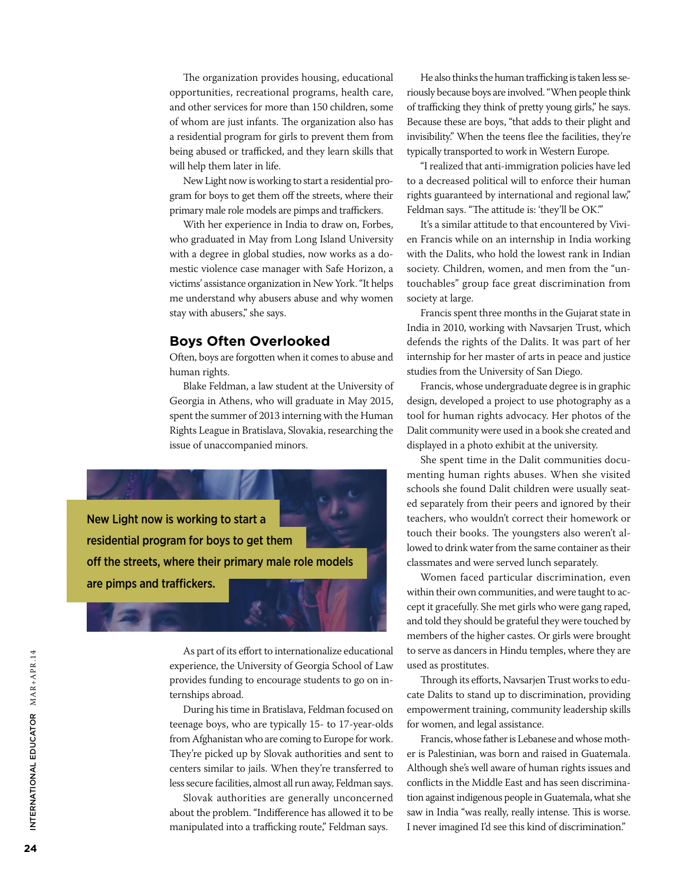The organization provides housing, educational opportunities, recreational programs, health care, and other services for more than 150 children, some of whom are just infants. The organization also has a residential program for girls to prevent them from being abused or trafficked, and they learn skills that will help them later in life.

New Light now is working to start a residential program for boys to get them off the streets, where their primary male role models are pimps and traffickers.

With her experience in India to draw on, Forbes, who graduated in May from Long Island University with a degree in global studies, now works as a domestic violence case manager with Safe Horizon, a victims' assistance organization in New York. "It helps me understand why abusers abuse and why women stay with abusers," she says.

### **Boys Often Overlooked**

Often, boys are forgotten when it comes to abuse and human rights.

Blake Feldman, a law student at the University of Georgia in Athens, who will graduate in May 2015, spent the summer of 2013 interning with the Human Rights League in Bratislava, Slovakia, researching the issue of unaccompanied minors.



As part of its effort to internationalize educational experience, the University of Georgia School of Law provides funding to encourage students to go on internships abroad.

During his time in Bratislava, Feldman focused on teenage boys, who are typically 15- to 17-year-olds from Afghanistan who are coming to Europe for work. They're picked up by Slovak authorities and sent to centers similar to jails. When they're transferred to less secure facilities, almost all run away, Feldman says.

Slovak authorities are generally unconcerned about the problem. "Indifference has allowed it to be manipulated into a trafficking route," Feldman says.

He also thinks the human trafficking is taken less seriously because boys are involved. "When people think of trafficking they think of pretty young girls," he says. Because these are boys, "that adds to their plight and invisibility." When the teens flee the facilities, they're typically transported to work in Western Europe.

"I realized that anti-immigration policies have led to a decreased political will to enforce their human rights guaranteed by international and regional law," Feldman says. "The attitude is: 'they'll be OK."

It's a similar attitude to that encountered by Vivien Francis while on an internship in India working with the Dalits, who hold the lowest rank in Indian society. Children, women, and men from the "untouchables" group face great discrimination from society at large.

Francis spent three months in the Gujarat state in India in 2010, working with Navsarjen Trust, which defends the rights of the Dalits. It was part of her internship for her master of arts in peace and justice studies from the University of San Diego.

Francis, whose undergraduate degree is in graphic design, developed a project to use photography as a tool for human rights advocacy. [Her photos of the](http://www.vivienfrancis.com/Photo_Book.html) [Dalit community were used in a book she created and](http://www.vivienfrancis.com/Photo_Book.html) [displayed in a photo exhibit at the university.](http://www.vivienfrancis.com/Photo_Book.html) 

She spent time in the Dalit communities documenting human rights abuses. When she visited schools she found Dalit children were usually seated separately from their peers and ignored by their teachers, who wouldn't correct their homework or touch their books. The youngsters also weren't allowed to drink water from the same container as their classmates and were served lunch separately.

Women faced particular discrimination, even within their own communities, and were taught to accept it gracefully. She met girls who were gang raped, and told they should be grateful they were touched by members of the higher castes. Or girls were brought to serve as dancers in Hindu temples, where they are used as prostitutes.

Through its efforts, Navsarjen Trust works to educate Dalits to stand up to discrimination, providing empowerment training, community leadership skills for women, and legal assistance.

Francis, whose father is Lebanese and whose mother is Palestinian, was born and raised in Guatemala. Although she's well aware of human rights issues and conflicts in the Middle East and has seen discrimination against indigenous people in Guatemala, what she saw in India "was really, really intense. This is worse. I never imagined I'd see this kind of discrimination."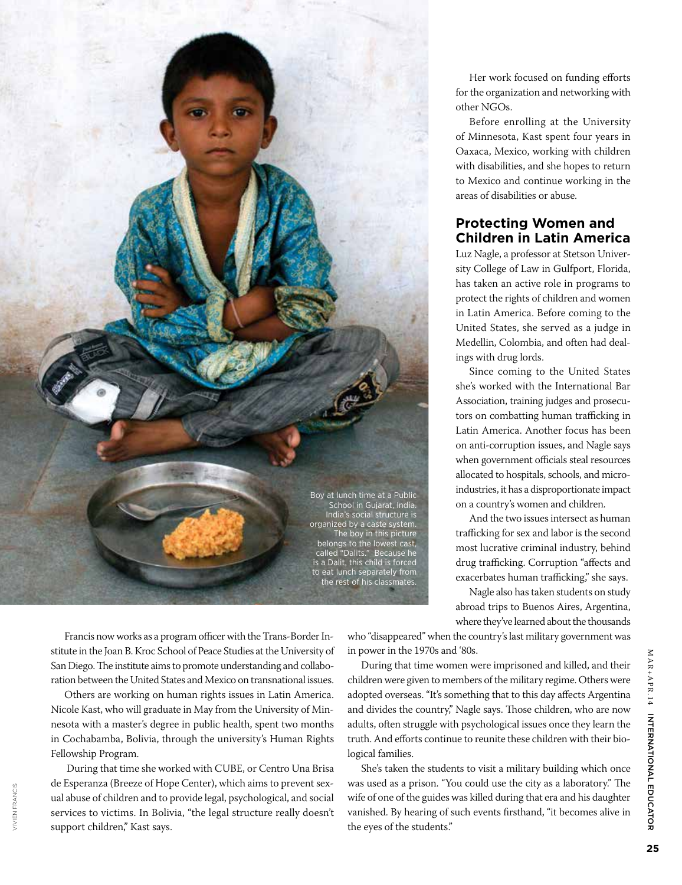

Her work focused on funding efforts for the organization and networking with other NGOs.

Before enrolling at the University of Minnesota, Kast spent four years in Oaxaca, Mexico, working with children with disabilities, and she hopes to return to Mexico and continue working in the areas of disabilities or abuse.

## **Protecting Women and Children in Latin America**

Luz Nagle, a professor at Stetson University College of Law in Gulfport, Florida, has taken an active role in programs to protect the rights of children and women in Latin America. Before coming to the United States, she served as a judge in Medellin, Colombia, and often had dealings with drug lords.

Since coming to the United States she's worked with the International Bar Association, training judges and prosecutors on combatting human trafficking in Latin America. Another focus has been on anti-corruption issues, and Nagle says when government officials steal resources allocated to hospitals, schools, and microindustries, it has a disproportionate impact on a country's women and children.

And the two issues intersect as human trafficking for sex and labor is the second most lucrative criminal industry, behind drug trafficking. Corruption "affects and exacerbates human trafficking," she says.

Nagle also has taken students on study abroad trips to Buenos Aires, Argentina, where they've learned about the thousands

Francis now works as a program officer with the Trans-Border Institute in the Joan B. Kroc School of Peace Studies at the University of San Diego. The institute aims to promote understanding and collaboration between the United States and Mexico on transnational issues.

Others are working on human rights issues in Latin America. Nicole Kast, who will graduate in May from the University of Minnesota with a master's degree in public health, spent two months in Cochabamba, Bolivia, through the university's Human Rights Fellowship Program.

 During that time she worked with CUBE, or Centro Una Brisa de Esperanza (Breeze of Hope Center), which aims to prevent sexual abuse of children and to provide legal, psychological, and social services to victims. In Bolivia, "the legal structure really doesn't support children," Kast says.

who "disappeared" when the country's last military government was in power in the 1970s and '80s.

During that time women were imprisoned and killed, and their children were given to members of the military regime. Others were adopted overseas. "It's something that to this day affects Argentina and divides the country," Nagle says. Those children, who are now adults, often struggle with psychological issues once they learn the truth. And efforts continue to reunite these children with their biological families.

She's taken the students to visit a military building which once was used as a prison. "You could use the city as a laboratory." The wife of one of the guides was killed during that era and his daughter vanished. By hearing of such events firsthand, "it becomes alive in the eyes of the students."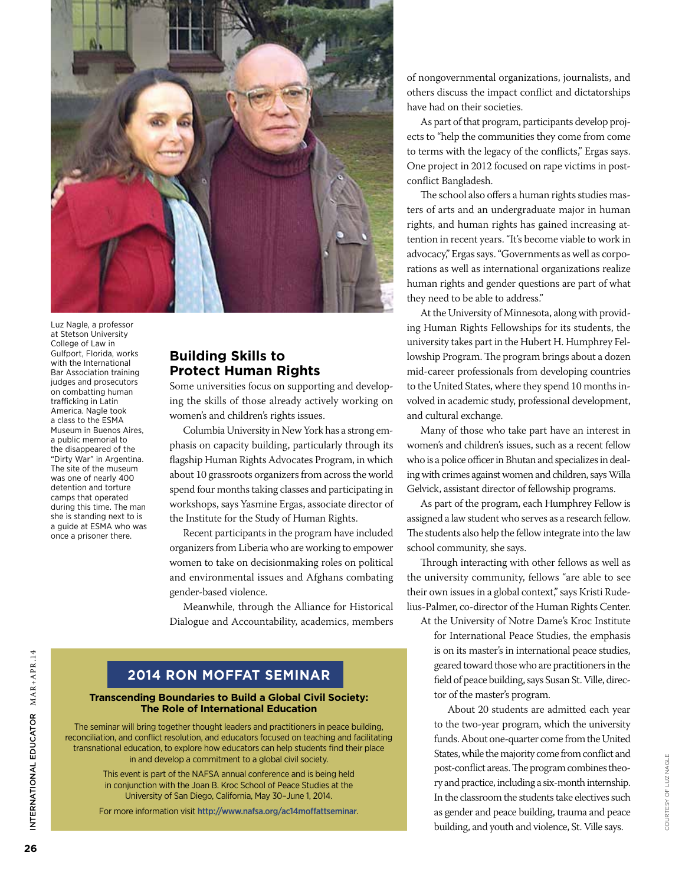

Luz Nagle, a professor at Stetson University College of Law in Gulfport, Florida, works with the International Bar Association training judges and prosecutors on combatting human trafficking in Latin America. Nagle took a class to the ESMA Museum in Buenos Aires, a public memorial to the disappeared of the "Dirty War" in Argentina. The site of the museum was one of nearly 400 detention and torture camps that operated during this time. The man she is standing next to is a guide at ESMA who was once a prisoner there.

# **Building Skills to Protect Human Rights**

Some universities focus on supporting and developing the skills of those already actively working on women's and children's rights issues.

Columbia University in New York has a strong emphasis on capacity building, particularly through its flagship Human Rights Advocates Program, in which about 10 grassroots organizers from across the world spend four months taking classes and participating in workshops, says Yasmine Ergas, associate director of the Institute for the Study of Human Rights.

Recent participants in the program have included organizers from Liberia who are working to empower women to take on decisionmaking roles on political and environmental issues and Afghans combating gender-based violence.

Meanwhile, through the Alliance for Historical Dialogue and Accountability, academics, members

# **2014 RON MOFFAT SEMINAR**

### **Transcending Boundaries to Build a Global Civil Society: The Role of International Education**

The seminar will bring together thought leaders and practitioners in peace building, reconciliation, and conflict resolution, and educators focused on teaching and facilitating transnational education, to explore how educators can help students find their place in and develop a commitment to a global civil society.

> This event is part of the NAFSA annual conference and is being held in conjunction with the Joan B. Kroc School of Peace Studies at the University of San Diego, California, May 30–June 1, 2014.

For more information visit <http://www.nafsa.org/ac14moffattseminar>.

of nongovernmental organizations, journalists, and others discuss the impact conflict and dictatorships have had on their societies.

As part of that program, participants develop projects to "help the communities they come from come to terms with the legacy of the conflicts," Ergas says. One project in 2012 focused on rape victims in postconflict Bangladesh.

The school also offers a human rights studies masters of arts and an undergraduate major in human rights, and human rights has gained increasing attention in recent years. "It's become viable to work in advocacy," Ergas says. "Governments as well as corporations as well as international organizations realize human rights and gender questions are part of what they need to be able to address."

At the University of Minnesota, along with providing Human Rights Fellowships for its students, the university takes part in the Hubert H. Humphrey Fellowship Program. The program brings about a dozen mid-career professionals from developing countries to the United States, where they spend 10 months involved in academic study, professional development, and cultural exchange.

Many of those who take part have an interest in women's and children's issues, such as a recent fellow who is a police officer in Bhutan and specializes in dealing with crimes against women and children, says Willa Gelvick, assistant director of fellowship programs.

As part of the program, each Humphrey Fellow is assigned a law student who serves as a research fellow. The students also help the fellow integrate into the law school community, she says.

Through interacting with other fellows as well as the university community, fellows "are able to see their own issues in a global context," says Kristi Rudelius-Palmer, co-director of the Human Rights Center.

At the University of Notre Dame's Kroc Institute for International Peace Studies, the emphasis is on its master's in international peace studies, geared toward those who are practitioners in the field of peace building, says Susan St. Ville, director of the master's program.

About 20 students are admitted each year to the two-year program, which the university funds. About one-quarter come from the United States, while the majority come from conflict and post-conflict areas. The program combines theory and practice, including a six-month internship. In the classroom the students take electives such as gender and peace building, trauma and peace building, and youth and violence, St. Ville says.